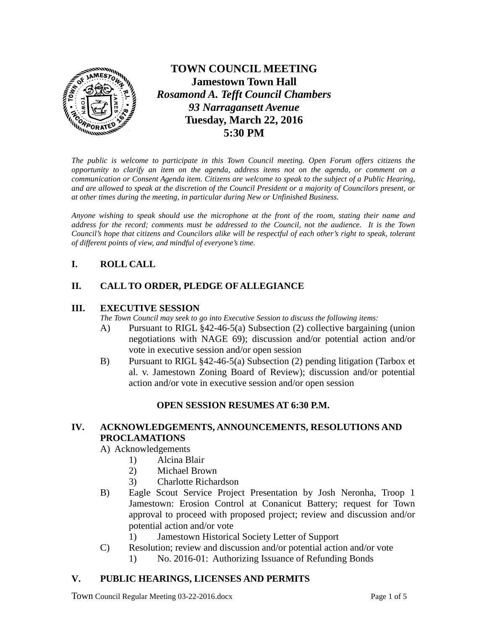

**TOWN COUNCIL MEETING Jamestown Town Hall** *Rosamond A. Tefft Council Chambers 93 Narragansett Avenue* **Tuesday, March 22, 2016 5:30 PM**

*The public is welcome to participate in this Town Council meeting. Open Forum offers citizens the opportunity to clarify an item on the agenda, address items not on the agenda, or comment on a communication or Consent Agenda item. Citizens are welcome to speak to the subject of a Public Hearing, and are allowed to speak at the discretion of the Council President or a majority of Councilors present, or at other times during the meeting, in particular during New or Unfinished Business.* 

*Anyone wishing to speak should use the microphone at the front of the room, stating their name and address for the record; comments must be addressed to the Council, not the audience. It is the Town Council's hope that citizens and Councilors alike will be respectful of each other's right to speak, tolerant of different points of view, and mindful of everyone's time.*

# **I. ROLL CALL**

## **II. CALL TO ORDER, PLEDGE OF ALLEGIANCE**

## **III. EXECUTIVE SESSION**

*The Town Council may seek to go into Executive Session to discuss the following items:*

- A) Pursuant to RIGL §42-46-5(a) Subsection (2) collective bargaining (union negotiations with NAGE 69); discussion and/or potential action and/or vote in executive session and/or open session
- B) Pursuant to RIGL §42-46-5(a) Subsection (2) pending litigation (Tarbox et al. v. Jamestown Zoning Board of Review); discussion and/or potential action and/or vote in executive session and/or open session

# **OPEN SESSION RESUMES AT 6:30 P.M.**

## **IV. ACKNOWLEDGEMENTS, ANNOUNCEMENTS, RESOLUTIONS AND PROCLAMATIONS**

- A) Acknowledgements
	- 1) Alcina Blair
	- 2) Michael Brown
	- 3) Charlotte Richardson
- B) Eagle Scout Service Project Presentation by Josh Neronha, Troop 1 Jamestown: Erosion Control at Conanicut Battery; request for Town approval to proceed with proposed project; review and discussion and/or potential action and/or vote
	- 1) Jamestown Historical Society Letter of Support
- C) Resolution; review and discussion and/or potential action and/or vote
	- 1) No. 2016-01: Authorizing Issuance of Refunding Bonds

## **V. PUBLIC HEARINGS, LICENSES AND PERMITS**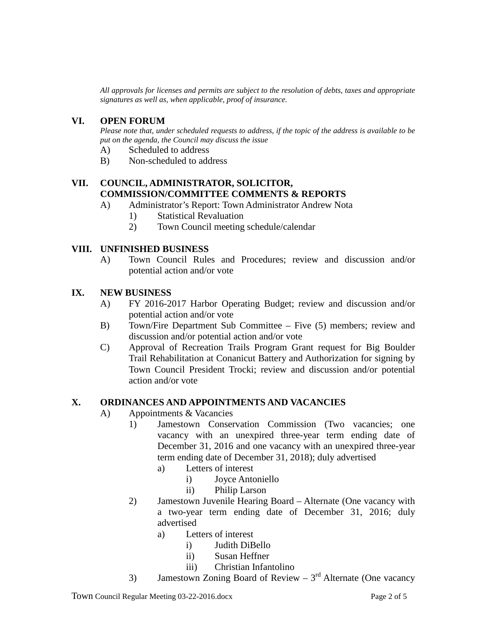*All approvals for licenses and permits are subject to the resolution of debts, taxes and appropriate signatures as well as, when applicable, proof of insurance.*

#### **VI. OPEN FORUM**

*Please note that, under scheduled requests to address, if the topic of the address is available to be put on the agenda, the Council may discuss the issue*

- A) Scheduled to address
- B) Non-scheduled to address

### **VII. COUNCIL, ADMINISTRATOR, SOLICITOR, COMMISSION/COMMITTEE COMMENTS & REPORTS**

- A) Administrator's Report: Town Administrator Andrew Nota
	- 1) Statistical Revaluation
	- 2) Town Council meeting schedule/calendar

#### **VIII. UNFINISHED BUSINESS**

A) Town Council Rules and Procedures; review and discussion and/or potential action and/or vote

#### **IX. NEW BUSINESS**

- A) FY 2016-2017 Harbor Operating Budget; review and discussion and/or potential action and/or vote
- B) Town/Fire Department Sub Committee Five (5) members; review and discussion and/or potential action and/or vote
- C) Approval of Recreation Trails Program Grant request for Big Boulder Trail Rehabilitation at Conanicut Battery and Authorization for signing by Town Council President Trocki; review and discussion and/or potential action and/or vote

#### **X. ORDINANCES AND APPOINTMENTS AND VACANCIES**

- A) Appointments & Vacancies
	- 1) Jamestown Conservation Commission (Two vacancies; one vacancy with an unexpired three-year term ending date of December 31, 2016 and one vacancy with an unexpired three-year term ending date of December 31, 2018); duly advertised
		- a) Letters of interest
			- i) Joyce Antoniello
			- ii) Philip Larson
	- 2) Jamestown Juvenile Hearing Board Alternate (One vacancy with a two-year term ending date of December 31, 2016; duly advertised
		- a) Letters of interest
			- i) Judith DiBello
			- ii) Susan Heffner
			- iii) Christian Infantolino
	- 3) Jamestown Zoning Board of Review  $3<sup>rd</sup>$  Alternate (One vacancy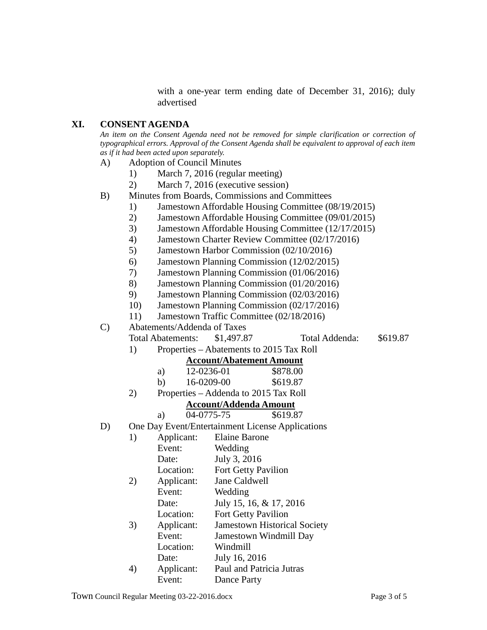with a one-year term ending date of December 31, 2016); duly advertised

#### **XI. CONSENT AGENDA**

*An item on the Consent Agenda need not be removed for simple clarification or correction of typographical errors. Approval of the Consent Agenda shall be equivalent to approval of each item as if it had been acted upon separately.*

- A) Adoption of Council Minutes
	- 1) March 7, 2016 (regular meeting)
	- 2) March 7, 2016 (executive session)
- B) Minutes from Boards, Commissions and Committees
	- 1) Jamestown Affordable Housing Committee (08/19/2015)
	- 2) Jamestown Affordable Housing Committee (09/01/2015)
	- 3) Jamestown Affordable Housing Committee (12/17/2015)
	- 4) Jamestown Charter Review Committee (02/17/2016)
	- 5) Jamestown Harbor Commission (02/10/2016)
	- 6) Jamestown Planning Commission (12/02/2015)
	- 7) Jamestown Planning Commission (01/06/2016)
	- 8) Jamestown Planning Commission (01/20/2016)
	- 9) Jamestown Planning Commission (02/03/2016)
	- 10) Jamestown Planning Commission (02/17/2016)
	- 11) Jamestown Traffic Committee (02/18/2016)
- C) Abatements/Addenda of Taxes

Total Abatements: \$1,497.87 Total Addenda: \$619.87

1) Properties – Abatements to 2015 Tax Roll

#### **Account/Abatement Amount**

| a) | 12-0236-01 | \$878.00 |
|----|------------|----------|
|    |            |          |

| b) | 16-0209-00 | \$619.87 |
|----|------------|----------|
|    |            |          |

2) Properties – Addenda to 2015 Tax Roll

# **Account/Addenda Amount**

- a) 04-0775-75 \$619.87
- D) One Day Event/Entertainment License Applications

| 1) | Applicant: | <b>Elaine Barone</b>                |
|----|------------|-------------------------------------|
|    | Event:     | Wedding                             |
|    | Date:      | July 3, 2016                        |
|    | Location:  | Fort Getty Pavilion                 |
| 2) | Applicant: | Jane Caldwell                       |
|    | Event:     | Wedding                             |
|    | Date:      | July 15, 16, & 17, 2016             |
|    | Location:  | <b>Fort Getty Pavilion</b>          |
| 3) | Applicant: | <b>Jamestown Historical Society</b> |
|    | Event:     | Jamestown Windmill Day              |
|    | Location:  | Windmill                            |
|    | Date:      | July 16, 2016                       |
| 4) | Applicant: | Paul and Patricia Jutras            |
|    | Event:     | Dance Party                         |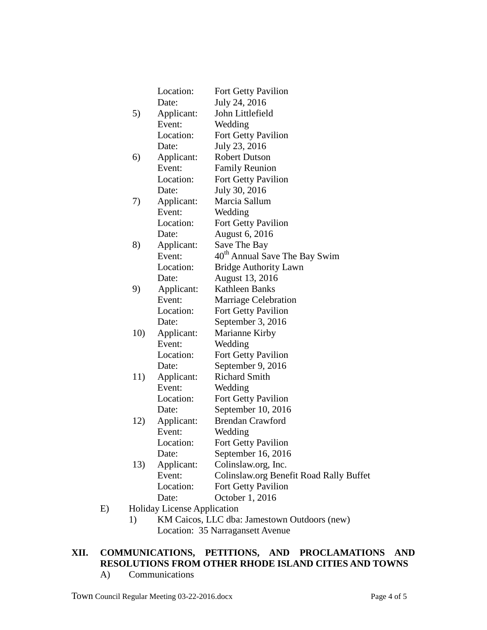|     | Location:       | Fort Getty Pavilion                       |
|-----|-----------------|-------------------------------------------|
|     | Date:           | July 24, 2016                             |
| 5)  | Applicant:      | John Littlefield                          |
|     | Event:          | Wedding                                   |
|     | Location:       | Fort Getty Pavilion                       |
|     | Date:           | July 23, 2016                             |
| 6)  | Applicant:      | <b>Robert Dutson</b>                      |
|     | Event:          | <b>Family Reunion</b>                     |
|     | Location:       | <b>Fort Getty Pavilion</b>                |
|     | Date:           | July 30, 2016                             |
| 7)  | Applicant:      | Marcia Sallum                             |
|     | Event:          | Wedding                                   |
|     | Location:       | Fort Getty Pavilion                       |
|     | Date:           | <b>August 6, 2016</b>                     |
| 8)  | Applicant:      | Save The Bay                              |
|     | Event:          | 40 <sup>th</sup> Annual Save The Bay Swim |
|     | Location:       | <b>Bridge Authority Lawn</b>              |
|     | Date:           | August 13, 2016                           |
| 9)  | Applicant:      | <b>Kathleen Banks</b>                     |
|     | Event:          | Marriage Celebration                      |
|     | Location:       | Fort Getty Pavilion                       |
|     | Date:           | September 3, 2016                         |
| 10) | Applicant:      | Marianne Kirby                            |
|     | Event:          | Wedding                                   |
|     | Location:       | Fort Getty Pavilion                       |
|     | Date:           | September 9, 2016                         |
| 11) | Applicant:      | <b>Richard Smith</b>                      |
|     | Event:          | Wedding                                   |
|     | Location:       | Fort Getty Pavilion                       |
|     | Date:           | September 10, 2016                        |
| 12) | Applicant:      | <b>Brendan Crawford</b>                   |
|     | Event:          | Wedding                                   |
|     | т.<br>Location: | Fort Getty Pavilion                       |
|     | Date:           | September 16, 2016                        |
| 13) | Applicant:      | Colinslaw.org, Inc.                       |
|     | Event:          | Colinslaw.org Benefit Road Rally Buffet   |
|     | Location:       | Fort Getty Pavilion                       |
|     | Date:           | October 1, 2016                           |

- E) Holiday License Application
	- 1) KM Caicos, LLC dba: Jamestown Outdoors (new) Location: 35 Narragansett Avenue

# **XII. COMMUNICATIONS, PETITIONS, AND PROCLAMATIONS AND RESOLUTIONS FROM OTHER RHODE ISLAND CITIES AND TOWNS**

A) Communications